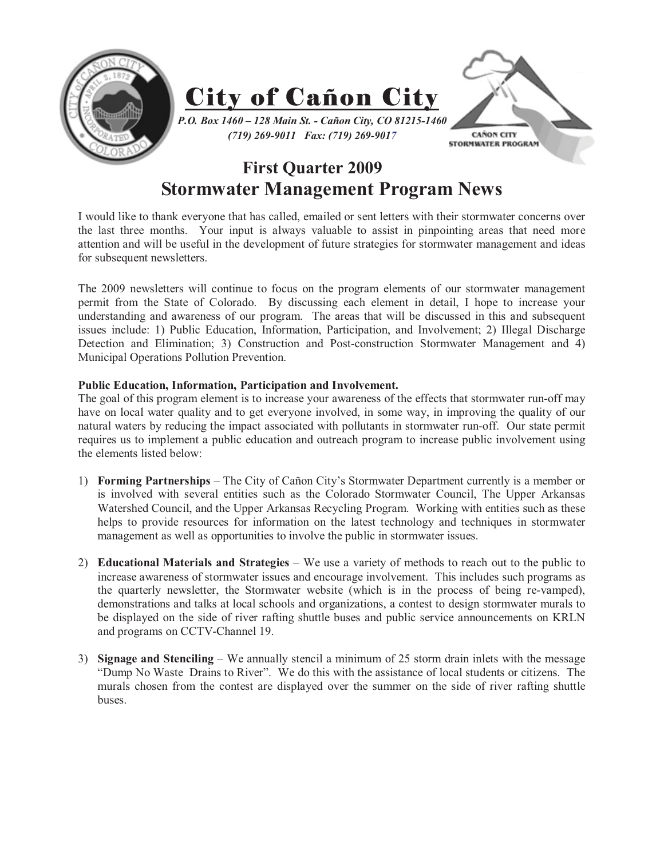

## **First Quarter 2009 Stormwater Management Program News**

I would like to thank everyone that has called, emailed or sent letters with their stormwater concerns over the last three months. Your input is always valuable to assist in pinpointing areas that need more attention and will be useful in the development of future strategies for stormwater management and ideas for subsequent newsletters.

The 2009 newsletters will continue to focus on the program elements of our stormwater management permit from the State of Colorado. By discussing each element in detail, I hope to increase your understanding and awareness of our program. The areas that will be discussed in this and subsequent issues include: 1) Public Education, Information, Participation, and Involvement; 2) Illegal Discharge Detection and Elimination; 3) Construction and Post-construction Stormwater Management and 4) Municipal Operations Pollution Prevention.

## **Public Education, Information, Participation and Involvement.**

The goal of this program element is to increase your awareness of the effects that stormwater run-off may have on local water quality and to get everyone involved, in some way, in improving the quality of our natural waters by reducing the impact associated with pollutants in stormwater run-off. Our state permit requires us to implement a public education and outreach program to increase public involvement using the elements listed below:

- 1) **Forming Partnerships** The City of Cañon City's Stormwater Department currently is a member or is involved with several entities such as the Colorado Stormwater Council, The Upper Arkansas Watershed Council, and the Upper Arkansas Recycling Program. Working with entities such as these helps to provide resources for information on the latest technology and techniques in stormwater management as well as opportunities to involve the public in stormwater issues.
- 2) **Educational Materials and Strategies** We use a variety of methods to reach out to the public to increase awareness of stormwater issues and encourage involvement. This includes such programs as the quarterly newsletter, the Stormwater website (which is in the process of being re-vamped), demonstrations and talks at local schools and organizations, a contest to design stormwater murals to be displayed on the side of river rafting shuttle buses and public service announcements on KRLN and programs on CCTV-Channel 19.
- 3) **Signage and Stenciling** We annually stencil a minimum of 25 storm drain inlets with the message "Dump No Waste Drains to River". We do this with the assistance of local students or citizens. The murals chosen from the contest are displayed over the summer on the side of river rafting shuttle buses.